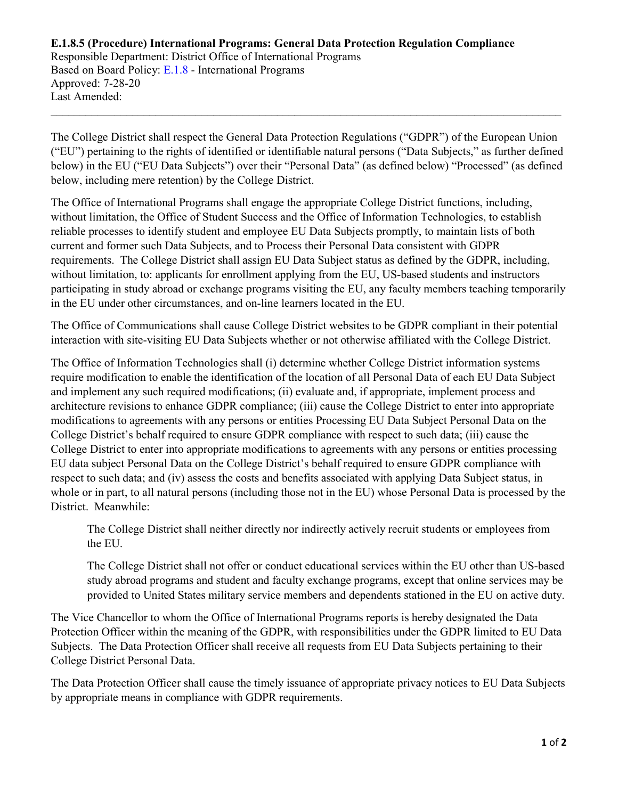## **E.1.8.5 (Procedure) International Programs: General Data Protection Regulation Compliance** Responsible Department: District Office of International Programs Based on Board Policy: E.1.8 - International Programs Approved: 7-28-20 Last Amended:

The College District shall respect the General Data Protection Regulations ("GDPR") of the European Union ("EU") pertaining to the rights of identified or identifiable natural persons ("Data Subjects," as further defined below) in the EU ("EU Data Subjects") over their "Personal Data" (as defined below) "Processed" (as defined below, including mere retention) by the College District.

 $\_$  , and the contribution of the contribution of the contribution of the contribution of the contribution of  $\mathcal{L}_\text{max}$ 

The Office of International Programs shall engage the appropriate College District functions, including, without limitation, the Office of Student Success and the Office of Information Technologies, to establish reliable processes to identify student and employee EU Data Subjects promptly, to maintain lists of both current and former such Data Subjects, and to Process their Personal Data consistent with GDPR requirements. The College District shall assign EU Data Subject status as defined by the GDPR, including, without limitation, to: applicants for enrollment applying from the EU, US-based students and instructors participating in study abroad or exchange programs visiting the EU, any faculty members teaching temporarily in the EU under other circumstances, and on-line learners located in the EU.

The Office of Communications shall cause College District websites to be GDPR compliant in their potential interaction with site-visiting EU Data Subjects whether or not otherwise affiliated with the College District.

The Office of Information Technologies shall (i) determine whether College District information systems require modification to enable the identification of the location of all Personal Data of each EU Data Subject and implement any such required modifications; (ii) evaluate and, if appropriate, implement process and architecture revisions to enhance GDPR compliance; (iii) cause the College District to enter into appropriate modifications to agreements with any persons or entities Processing EU Data Subject Personal Data on the College District's behalf required to ensure GDPR compliance with respect to such data; (iii) cause the College District to enter into appropriate modifications to agreements with any persons or entities processing EU data subject Personal Data on the College District's behalf required to ensure GDPR compliance with respect to such data; and (iv) assess the costs and benefits associated with applying Data Subject status, in whole or in part, to all natural persons (including those not in the EU) whose Personal Data is processed by the District. Meanwhile:

The College District shall neither directly nor indirectly actively recruit students or employees from the EU.

The College District shall not offer or conduct educational services within the EU other than US-based study abroad programs and student and faculty exchange programs, except that online services may be provided to United States military service members and dependents stationed in the EU on active duty.

The Vice Chancellor to whom the Office of International Programs reports is hereby designated the Data Protection Officer within the meaning of the GDPR, with responsibilities under the GDPR limited to EU Data Subjects. The Data Protection Officer shall receive all requests from EU Data Subjects pertaining to their College District Personal Data.

The Data Protection Officer shall cause the timely issuance of appropriate privacy notices to EU Data Subjects by appropriate means in compliance with GDPR requirements.